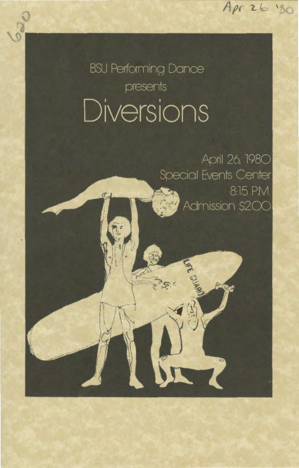$A\rho r$  26 '80

**BSU Performing Dance** presents Diversions

> April 26, 1980 Special Events Center 8:15 P.M. Admission \$2.00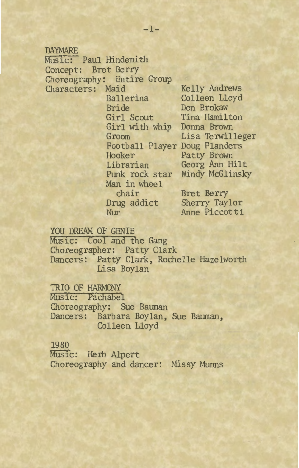#### DAYMARE

Music: Paul Hindemith Concept: Bret Berry Choreography: Entire Group Characters: Maid Kelly Andrews Ballerina Colleen Lloyd Bride Don Brokaw Girl Scout Tina Hamilton Girl with whip Donna Brown Football Player Doug Flanders Hooker Patty Brown Librarian Georg Ann Hilt Man in wheel chair Drug addict

Nun

Groom Lisa Terwilleger Punk rock star Windy McGlinsky

> Bret Berry Sherry Taylor Anne Piccotti

## YOU DREAM OF GENIE

Music: Cool and the Gang Choreographer: Patty Clark Dancers: Patty Clark, Rochelle Hazelworth Lisa Boylan

## TRIO OF HARMONY

Music: PaChabel Choreography: Sue Bauman Dancers: Barbara Boylan, Sue Bauman, Colleen Lloyd

## 1980

Music: Herb Alpert Choreography and dancer: Missy Munns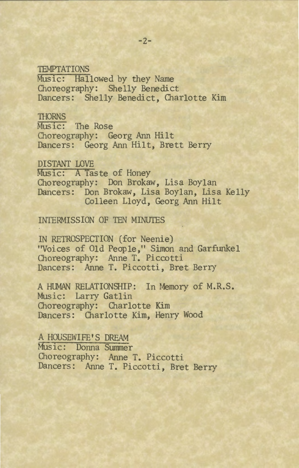## **TEMPTATIONS**

Music: Hallowed by they Name Choreography: Shelly Benedict Dancers: Shelly Benedict, Charlotte Kim

THORNS<br>Music: The Rose Choreography: Georg Ann Hilt Dancers: Georg Ann Hilt, Brett Berry

### DISTANT LOVE

Music: A Taste of Honey Choreography: Don Brokaw, Lisa Boylan Dancers: Don Brokaw, Lisa Boylan, Lisa Kelly Colleen Lloyd, Georg Ann Hilt

## INTERMISSION OF TEN MINUTES

IN RETROSPECTION (for Neenie) "Voices of Old People," Simon and Garfunkel Choreography: Anne T. Piccotti Dancers: Anne T. Piccotti, Bret Berry

A HUMAN RELATIONSHIP: In Memory of M.R.S. Music: Larry Gatlin Choreography: Charlotte Kim Dancers: Charlotte Kim, Henry Wood

A HOUSEWIFE'S DREAM Music: Donna Summer Choreography: Anne T. Piccotti Dancers: Anne T. Piccotti, Bret Berry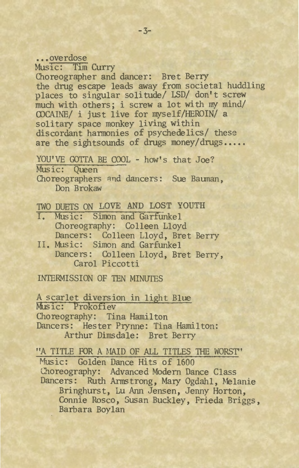## ••• overdose Music: T1m Curry Choreographer and dancer: Bret Berry the drug escape leads away from societal huddling places to singular solitude/ LSD/ don't screw much with others; i screw a lot with my mind/ CDCAINE/ i just live for myself/HEROIN/ a solitary space monkey living within discordant harmonies of psychedelics/ these are the sightsounds of drugs money/drugs.....

YOU'VE GOTTA BE COOL - how's that Joe? Music: Queen Choreographers and dancers: Sue Bauman, Don Brokaw

## TWO DUETS ON LOVE AND LOST YOUTH

- I. Music: Simon and Garfunkel Choreography: Colleen Lloyd Dancers: Colleen Lloyd, Bret Berry
- II. Music: Simon and Garfunkel Dancers: Colleen Lloyd, Bret Berry, Carol Piccotti

INTERMISSION OF TEN MINUTES

A scarlet diversion in light Blue Music: Prokofiev Choreography: Tina Hamil ton Dancers: Hester Prynne: Tina Hamilton: Arthur Dimsdale: Bret Berry

"A TITLE FOR A MAID OF ALL TITLES THE WORST"

Music: Golden Dance Hits of 1600 Choreography: Advanced Modern Dance Class Dancers: Ruth Armstrong, Mary Ogdahl, Melanie Bringhurst, Lu Ann Jensen, Jenny Horton, Connie Rosco, Susan Buckley, Frieda Briggs, Barbara Boylan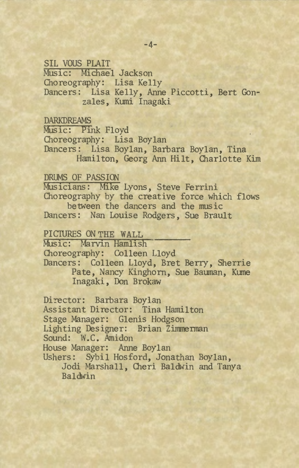SIL VOUS PLAIT Music: Michael Jackson Choreography: Lisa Kelly Dancers: Lisa Kelly, Anne Piccotti, Bert Gonzales, Kumi Inagaki

## DARKDREAMS

Music: Pink Floyd Choreography: Lisa Boylan Dancers: Lisa Boylan, Barbara Boylan, Tina Hamilton, Georg Ann Hilt, Charlotte Kim

## DRUMS OF PASSION

Musicians: Mike Lyons, Steve Ferrini Choreography by the creative force which flows between the dancers and the music Dancers: Nan Louise Rodgers, Sue Brault

## PICTURES ON THE WALL

Music: Marvin Hamlish Choreography: Colleen Lloyd Dancers: Colleen Lloyd, Bret Berry, Sherrie Pate, Nancy Kinghorn, Sue Bauman, Kume

Inagaki , Don Brokaw

Director: Barbara Boylan Assistant Director: Tina Hamilton Stage Manager: Glenis Hodgson Lighting Designer: Brian Zimmerman Sound: W. C. Amidon House Manager: Anne Boylan Ushers: Sybil Hosford, Jonathan Boylan, Jodi Marshall, Cheri Baldwin and Tanya Baldwin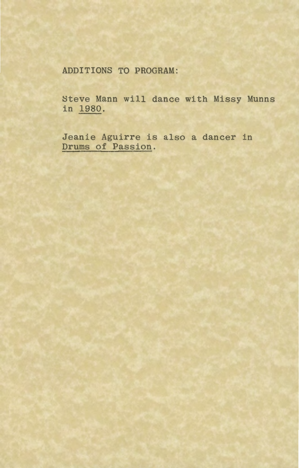ADDITIONS TO PROGRAM:

Steve Mann will dance with Missy Munns in 1980.

Jeanie Aguirre is also a dancer in Drums of Passion.